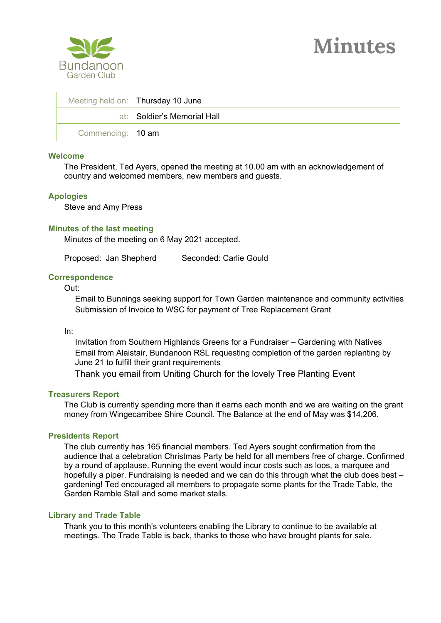

|                   | Meeting held on: Thursday 10 June |
|-------------------|-----------------------------------|
|                   | at: Soldier's Memorial Hall       |
| Commencing: 10 am |                                   |

## **Welcome**

The President, Ted Ayers, opened the meeting at 10.00 am with an acknowledgement of country and welcomed members, new members and guests.

## **Apologies**

Steve and Amy Press

# **Minutes of the last meeting**

Minutes of the meeting on 6 May 2021 accepted.

Proposed: Jan Shepherd Seconded: Carlie Gould

## **Correspondence**

Out:

Email to Bunnings seeking support for Town Garden maintenance and community activities Submission of Invoice to WSC for payment of Tree Replacement Grant

### In:

Invitation from Southern Highlands Greens for a Fundraiser – Gardening with Natives Email from Alaistair, Bundanoon RSL requesting completion of the garden replanting by June 21 to fulfill their grant requirements

Thank you email from Uniting Church for the lovely Tree Planting Event

### **Treasurers Report**

The Club is currently spending more than it earns each month and we are waiting on the grant money from Wingecarribee Shire Council. The Balance at the end of May was \$14,206.

### **Presidents Report**

The club currently has 165 financial members. Ted Ayers sought confirmation from the audience that a celebration Christmas Party be held for all members free of charge. Confirmed by a round of applause. Running the event would incur costs such as loos, a marquee and hopefully a piper. Fundraising is needed and we can do this through what the club does best – gardening! Ted encouraged all members to propagate some plants for the Trade Table, the Garden Ramble Stall and some market stalls.

# **Library and Trade Table**

Thank you to this month's volunteers enabling the Library to continue to be available at meetings. The Trade Table is back, thanks to those who have brought plants for sale.